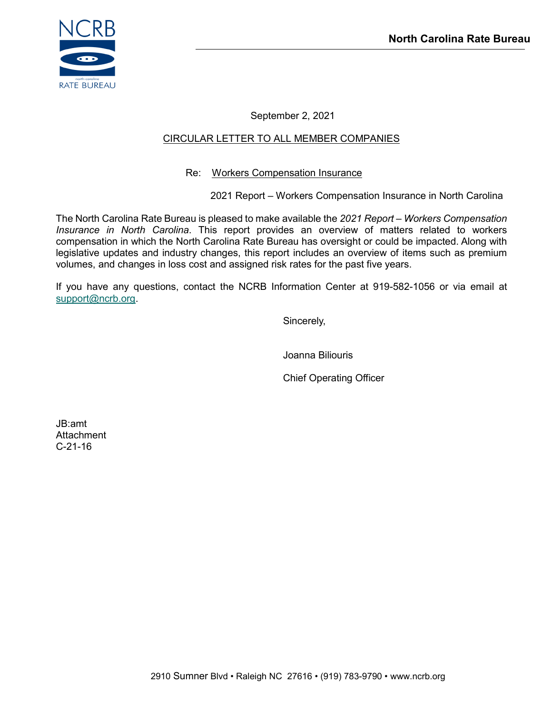

September 2, 2021

#### CIRCULAR LETTER TO ALL MEMBER COMPANIES

#### Re: Workers Compensation Insurance

2021 Report – Workers Compensation Insurance in North Carolina

The North Carolina Rate Bureau is pleased to make available the *2021 Report – Workers Compensation Insurance in North Carolina*. This report provides an overview of matters related to workers compensation in which the North Carolina Rate Bureau has oversight or could be impacted. Along with legislative updates and industry changes, this report includes an overview of items such as premium volumes, and changes in loss cost and assigned risk rates for the past five years.

If you have any questions, contact the NCRB Information Center at 919-582-1056 or via email at [support@ncrb.org.](mailto:support@ncrb.org)

Sincerely,

Joanna Biliouris

Chief Operating Officer

JB:amt **Attachment** C-21-16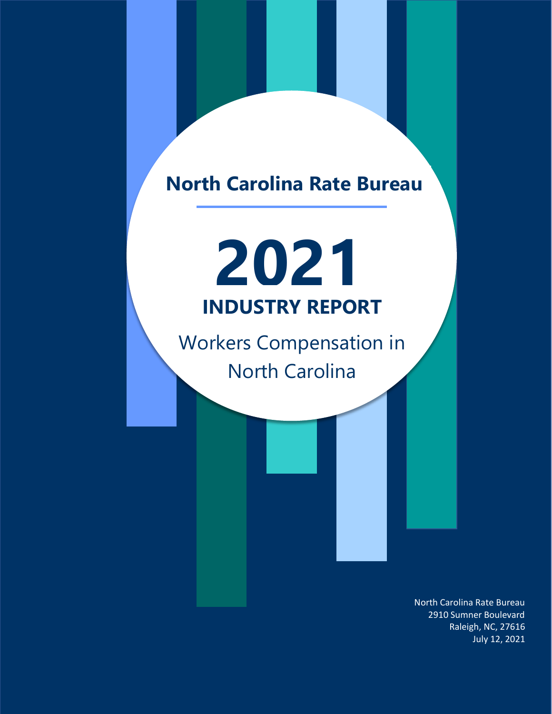## **North Carolina Rate Bureau**

# **2021 INDUSTRY REPORT**

Workers Compensation in North Carolina

> North Carolina Rate Bureau 2910 Sumner Boulevard Raleigh, NC, 27616 July 12, 2021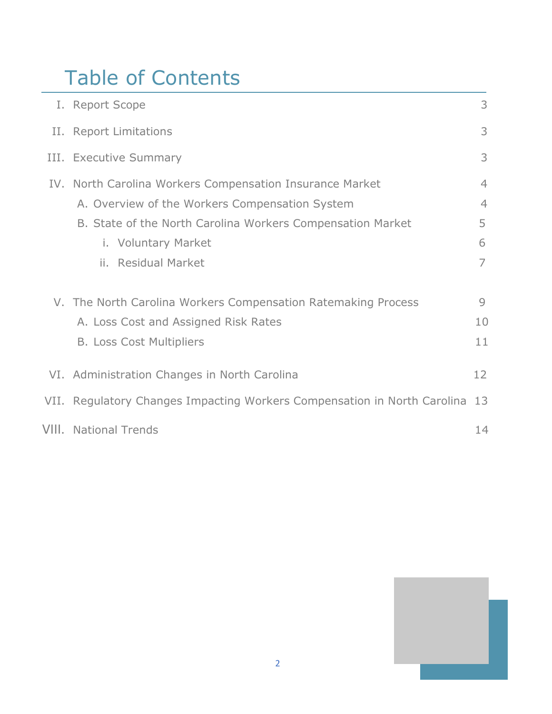## Table of Contents

| I. Report Scope                                                          | 3              |
|--------------------------------------------------------------------------|----------------|
| II. Report Limitations                                                   | 3              |
| III. Executive Summary                                                   | 3              |
| IV. North Carolina Workers Compensation Insurance Market                 | $\overline{4}$ |
| A. Overview of the Workers Compensation System                           | $\overline{4}$ |
| B. State of the North Carolina Workers Compensation Market               | 5              |
| i. Voluntary Market                                                      | 6              |
| ii. Residual Market                                                      | $\overline{7}$ |
| V. The North Carolina Workers Compensation Ratemaking Process            | 9              |
| A. Loss Cost and Assigned Risk Rates                                     | 10             |
| <b>B. Loss Cost Multipliers</b>                                          | 11             |
| VI. Administration Changes in North Carolina                             | 12             |
| VII. Regulatory Changes Impacting Workers Compensation in North Carolina | 13             |
| <b>VIII.</b> National Trends                                             | 14             |

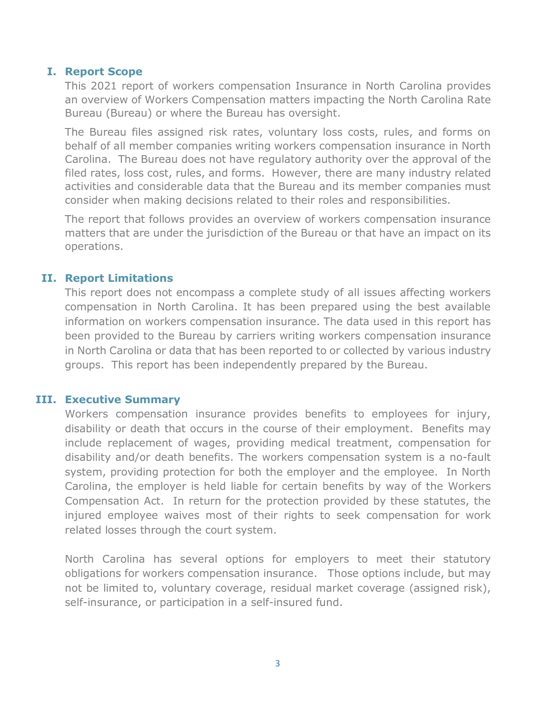#### **I. Report Scope**

This 2021 report of workers compensation Insurance in North Carolina provides an overview of Workers Compensation matters impacting the North Carolina Rate Bureau (Bureau) or where the Bureau has oversight.

The Bureau files assigned risk rates, voluntary loss costs, rules, and forms on behalf of all member companies writing workers compensation insurance in North Carolina. The Bureau does not have regulatory authority over the approval of the filed rates, loss cost, rules, and forms. However, there are many industry related activities and considerable data that the Bureau and its member companies must consider when making decisions related to their roles and responsibilities.

The report that follows provides an overview of workers compensation insurance matters that are under the jurisdiction of the Bureau or that have an impact on its operations.

#### **II. Report Limitations**

This report does not encompass a complete study of all issues affecting workers compensation in North Carolina. It has been prepared using the best available information on workers compensation insurance. The data used in this report has been provided to the Bureau by carriers writing workers compensation insurance in North Carolina or data that has been reported to or collected by various industry groups. This report has been independently prepared by the Bureau.

#### **III. Executive Summary**

Workers compensation insurance provides benefits to employees for injury, disability or death that occurs in the course of their employment. Benefits may include replacement of wages, providing medical treatment, compensation for disability and/or death benefits. The workers compensation system is a no-fault system, providing protection for both the employer and the employee. In North Carolina, the employer is held liable for certain benefits by way of the Workers Compensation Act. In return for the protection provided by these statutes, the injured employee waives most of their rights to seek compensation for work related losses through the court system.

North Carolina has several options for employers to meet their statutory obligations for workers compensation insurance. Those options include, but may not be limited to, voluntary coverage, residual market coverage (assigned risk), self-insurance, or participation in a self-insured fund.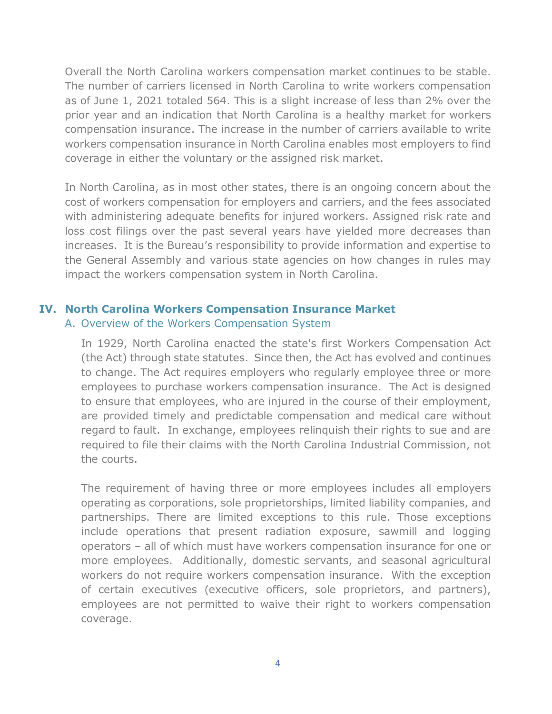Overall the North Carolina workers compensation market continues to be stable. The number of carriers licensed in North Carolina to write workers compensation as of June 1, 2021 totaled 564. This is a slight increase of less than 2% over the prior year and an indication that North Carolina is a healthy market for workers compensation insurance. The increase in the number of carriers available to write workers compensation insurance in North Carolina enables most employers to find coverage in either the voluntary or the assigned risk market.

In North Carolina, as in most other states, there is an ongoing concern about the cost of workers compensation for employers and carriers, and the fees associated with administering adequate benefits for injured workers. Assigned risk rate and loss cost filings over the past several years have yielded more decreases than increases. It is the Bureau's responsibility to provide information and expertise to the General Assembly and various state agencies on how changes in rules may impact the workers compensation system in North Carolina.

### **IV. North Carolina Workers Compensation Insurance Market**

#### A. Overview of the Workers Compensation System

In 1929, North Carolina enacted the state's first Workers Compensation Act (the Act) through state statutes. Since then, the Act has evolved and continues to change. The Act requires employers who regularly employee three or more employees to purchase workers compensation insurance. The Act is designed to ensure that employees, who are injured in the course of their employment, are provided timely and predictable compensation and medical care without regard to fault. In exchange, employees relinquish their rights to sue and are required to file their claims with the [North Carolina Industrial Commission,](http://www.ic.nc.gov/) not the courts.

The requirement of having three or more employees includes all employers operating as corporations, sole proprietorships, limited liability companies, and partnerships. There are limited exceptions to this rule. Those exceptions include operations that present radiation exposure, sawmill and logging operators – all of which must have workers compensation insurance for one or more employees. Additionally, domestic servants, and seasonal agricultural workers do not require workers compensation insurance. With the exception of certain executives (executive officers, sole proprietors, and partners), employees are not permitted to waive their right to workers compensation coverage.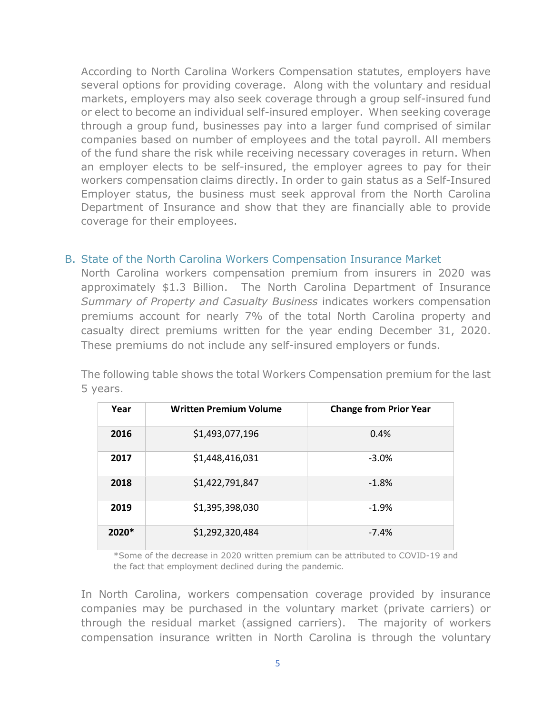According to North Carolina Workers Compensation statutes, employers have several options for providing coverage. Along with the voluntary and residual markets, employers may also seek coverage through a group self-insured fund or elect to become an individual self-insured employer. When seeking coverage through a group fund, businesses pay into a larger fund comprised of similar companies based on number of employees and the total payroll. All members of the fund share the risk while receiving necessary coverages in return. When an employer elects to be self-insured, the employer agrees to pay for their workers compensation claims directly. In order to gain status as a Self-Insured Employer status, the business must seek approval from the North Carolina Department of Insurance and show that they are financially able to provide coverage for their employees.

#### B. State of the North Carolina Workers Compensation Insurance Market

North Carolina workers compensation premium from insurers in 2020 was approximately \$1.3 Billion. The North Carolina Department of Insurance *Summary of Property and Casualty Business* indicates workers compensation premiums account for nearly 7% of the total North Carolina property and casualty direct premiums written for the year ending December 31, 2020. These premiums do not include any self-insured employers or funds.

The following table shows the total Workers Compensation premium for the last 5 years.

| Year    | <b>Written Premium Volume</b> | <b>Change from Prior Year</b> |
|---------|-------------------------------|-------------------------------|
| 2016    | \$1,493,077,196               | 0.4%                          |
| 2017    | \$1,448,416,031               | $-3.0%$                       |
| 2018    | \$1,422,791,847               | $-1.8%$                       |
| 2019    | \$1,395,398,030               | $-1.9%$                       |
| $2020*$ | \$1,292,320,484               | $-7.4%$                       |

\*Some of the decrease in 2020 written premium can be attributed to COVID-19 and the fact that employment declined during the pandemic.

In North Carolina, workers compensation coverage provided by insurance companies may be purchased in the voluntary market (private carriers) or through the residual market (assigned carriers). The majority of workers compensation insurance written in North Carolina is through the voluntary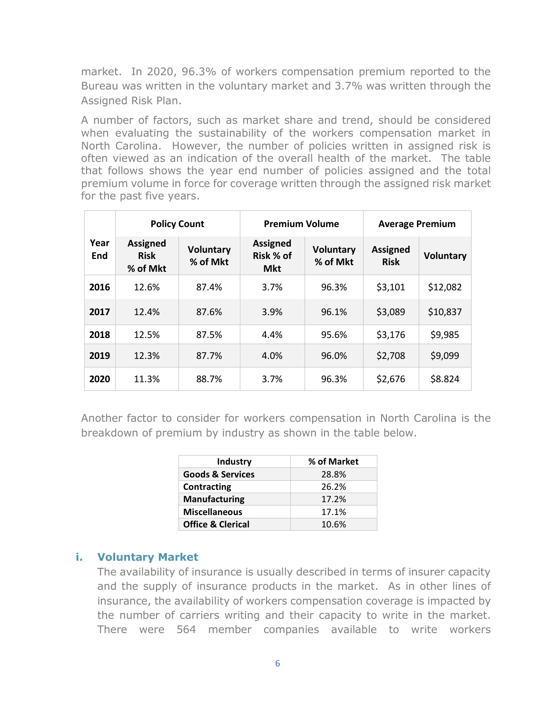market. In 2020, 96.3% of workers compensation premium reported to the Bureau was written in the voluntary market and 3.7% was written through the Assigned Risk Plan.

A number of factors, such as market share and trend, should be considered when evaluating the sustainability of the workers compensation market in North Carolina. However, the number of policies written in assigned risk is often viewed as an indication of the overall health of the market. The table that follows shows the year end number of policies assigned and the total premium volume in force for coverage written through the assigned risk market for the past five years.

|             | <b>Policy Count</b>                        |                              | <b>Premium Volume</b>                      |                              | <b>Average Premium</b>         |                  |
|-------------|--------------------------------------------|------------------------------|--------------------------------------------|------------------------------|--------------------------------|------------------|
| Year<br>End | <b>Assigned</b><br><b>Risk</b><br>% of Mkt | <b>Voluntary</b><br>% of Mkt | <b>Assigned</b><br>Risk % of<br><b>Mkt</b> | <b>Voluntary</b><br>% of Mkt | <b>Assigned</b><br><b>Risk</b> | <b>Voluntary</b> |
| 2016        | 12.6%                                      | 87.4%                        | 3.7%                                       | 96.3%                        | \$3,101                        | \$12,082         |
| 2017        | 12.4%                                      | 87.6%                        | 3.9%                                       | 96.1%                        | \$3,089                        | \$10,837         |
| 2018        | 12.5%                                      | 87.5%                        | 4.4%                                       | 95.6%                        | \$3,176                        | \$9,985          |
| 2019        | 12.3%                                      | 87.7%                        | 4.0%                                       | 96.0%                        | \$2,708                        | \$9,099          |
| 2020        | 11.3%                                      | 88.7%                        | 3.7%                                       | 96.3%                        | \$2,676                        | \$8.824          |

Another factor to consider for workers compensation in North Carolina is the breakdown of premium by industry as shown in the table below.

| Industry                     | % of Market |
|------------------------------|-------------|
| <b>Goods &amp; Services</b>  | 28.8%       |
| Contracting                  | 26.2%       |
| <b>Manufacturing</b>         | 17.2%       |
| <b>Miscellaneous</b>         | 17.1%       |
| <b>Office &amp; Clerical</b> | 10.6%       |

#### **i. Voluntary Market**

The availability of insurance is usually described in terms of insurer capacity and the supply of insurance products in the market. As in other lines of insurance, the availability of workers compensation coverage is impacted by the number of carriers writing and their capacity to write in the market. There were 564 member companies available to write workers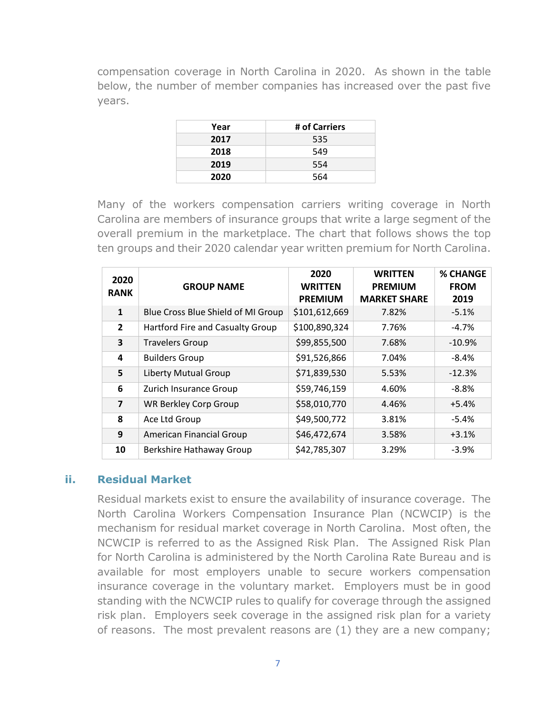compensation coverage in North Carolina in 2020. As shown in the table below, the number of member companies has increased over the past five years.

| Year | # of Carriers |
|------|---------------|
| 2017 | 535           |
| 2018 | 549           |
| 2019 | 554           |
| 2020 | 564           |

Many of the workers compensation carriers writing coverage in North Carolina are members of insurance groups that write a large segment of the overall premium in the marketplace. The chart that follows shows the top ten groups and their 2020 calendar year written premium for North Carolina.

| 2020<br><b>RANK</b>     | <b>GROUP NAME</b>                  | 2020<br><b>WRITTEN</b><br><b>PREMIUM</b> | <b>WRITTEN</b><br><b>PREMIUM</b><br><b>MARKET SHARE</b> | <b>% CHANGE</b><br><b>FROM</b><br>2019 |
|-------------------------|------------------------------------|------------------------------------------|---------------------------------------------------------|----------------------------------------|
| $\mathbf{1}$            | Blue Cross Blue Shield of MI Group | \$101,612,669                            | 7.82%                                                   | $-5.1%$                                |
| $\overline{2}$          | Hartford Fire and Casualty Group   | \$100,890,324                            | 7.76%                                                   | $-4.7\%$                               |
| 3                       | <b>Travelers Group</b>             | \$99,855,500                             | 7.68%                                                   | $-10.9\%$                              |
| 4                       | <b>Builders Group</b>              | \$91,526,866                             | 7.04%                                                   | $-8.4\%$                               |
| 5                       | Liberty Mutual Group               | \$71,839,530                             | 5.53%                                                   | $-12.3%$                               |
| 6                       | Zurich Insurance Group             | \$59,746,159                             | 4.60%                                                   | $-8.8%$                                |
| $\overline{\mathbf{z}}$ | <b>WR Berkley Corp Group</b>       | \$58,010,770                             | 4.46%                                                   | $+5.4%$                                |
| 8                       | Ace Ltd Group                      | \$49,500,772                             | 3.81%                                                   | $-5.4%$                                |
| 9                       | American Financial Group           | \$46,472,674                             | 3.58%                                                   | $+3.1%$                                |
| 10                      | Berkshire Hathaway Group           | \$42,785,307                             | 3.29%                                                   | $-3.9%$                                |

#### **ii. Residual Market**

Residual markets exist to ensure the availability of insurance coverage. The North Carolina Workers Compensation Insurance Plan (NCWCIP) is the mechanism for residual market coverage in North Carolina. Most often, the NCWCIP is referred to as the Assigned Risk Plan. The Assigned Risk Plan for North Carolina is administered by the North Carolina Rate Bureau and is available for most employers unable to secure workers compensation insurance coverage in the voluntary market. Employers must be in good standing with the NCWCIP rules to qualify for coverage through the assigned risk plan. Employers seek coverage in the assigned risk plan for a variety of reasons. The most prevalent reasons are (1) they are a new company;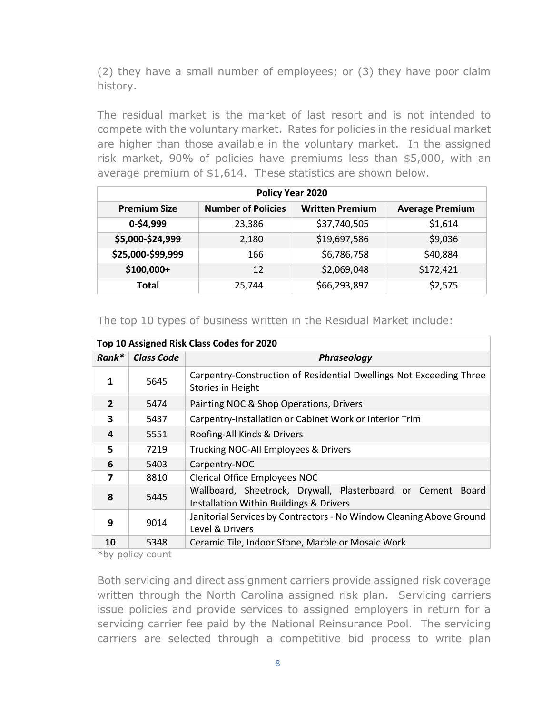(2) they have a small number of employees; or (3) they have poor claim history.

The residual market is the market of last resort and is not intended to compete with the voluntary market. Rates for policies in the residual market are higher than those available in the voluntary market. In the assigned risk market, 90% of policies have premiums less than \$5,000, with an average premium of \$1,614. These statistics are shown below.

| Policy Year 2020    |                           |                        |                        |  |  |  |  |  |  |  |  |
|---------------------|---------------------------|------------------------|------------------------|--|--|--|--|--|--|--|--|
| <b>Premium Size</b> | <b>Number of Policies</b> | <b>Written Premium</b> | <b>Average Premium</b> |  |  |  |  |  |  |  |  |
| 0-\$4,999           | 23,386                    | \$37,740,505           | \$1,614                |  |  |  |  |  |  |  |  |
| \$5,000-\$24,999    | 2,180                     | \$19,697,586           | \$9,036                |  |  |  |  |  |  |  |  |
| \$25,000-\$99,999   | 166                       | \$6,786,758            | \$40,884               |  |  |  |  |  |  |  |  |
| \$100,000+          | 12                        | \$2,069,048            | \$172,421              |  |  |  |  |  |  |  |  |
| Total               | 25,744                    | \$66,293,897           | \$2,575                |  |  |  |  |  |  |  |  |

#### The top 10 types of business written in the Residual Market include:

| Top 10 Assigned Risk Class Codes for 2020 |                   |                                                                                                                   |  |  |  |  |  |  |  |  |
|-------------------------------------------|-------------------|-------------------------------------------------------------------------------------------------------------------|--|--|--|--|--|--|--|--|
| Rank*                                     | <b>Class Code</b> | Phraseology                                                                                                       |  |  |  |  |  |  |  |  |
| 1                                         | 5645              | Carpentry-Construction of Residential Dwellings Not Exceeding Three<br>Stories in Height                          |  |  |  |  |  |  |  |  |
| $\overline{2}$                            | 5474              | Painting NOC & Shop Operations, Drivers                                                                           |  |  |  |  |  |  |  |  |
| 3                                         | 5437              | Carpentry-Installation or Cabinet Work or Interior Trim                                                           |  |  |  |  |  |  |  |  |
| 4                                         | 5551              | Roofing-All Kinds & Drivers                                                                                       |  |  |  |  |  |  |  |  |
| 5                                         | 7219              | Trucking NOC-All Employees & Drivers                                                                              |  |  |  |  |  |  |  |  |
| 6                                         | 5403              | Carpentry-NOC                                                                                                     |  |  |  |  |  |  |  |  |
| 7                                         | 8810              | <b>Clerical Office Employees NOC</b>                                                                              |  |  |  |  |  |  |  |  |
| 8                                         | 5445              | Wallboard, Sheetrock, Drywall, Plasterboard or Cement Board<br><b>Installation Within Buildings &amp; Drivers</b> |  |  |  |  |  |  |  |  |
| 9                                         | 9014              | Janitorial Services by Contractors - No Window Cleaning Above Ground<br>Level & Drivers                           |  |  |  |  |  |  |  |  |
| 10                                        | 5348              | Ceramic Tile, Indoor Stone, Marble or Mosaic Work                                                                 |  |  |  |  |  |  |  |  |

\*by policy count

Both servicing and direct assignment carriers provide assigned risk coverage written through the North Carolina assigned risk plan. Servicing carriers issue policies and provide services to assigned employers in return for a servicing carrier fee paid by the National Reinsurance Pool. The servicing carriers are selected through a competitive bid process to write plan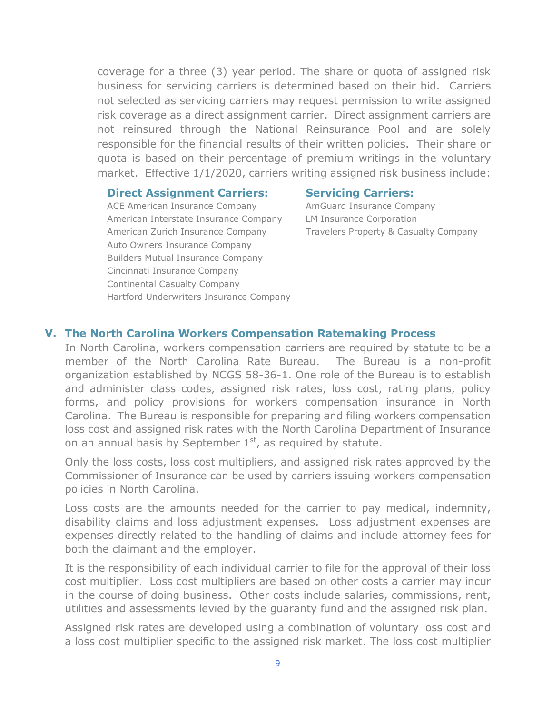coverage for a three (3) year period. The share or quota of assigned risk business for servicing carriers is determined based on their bid. Carriers not selected as servicing carriers may request permission to write assigned risk coverage as a direct assignment carrier. Direct assignment carriers are not reinsured through the National Reinsurance Pool and are solely responsible for the financial results of their written policies. Their share or quota is based on their percentage of premium writings in the voluntary market. Effective 1/1/2020, carriers writing assigned risk business include:

#### **Direct Assignment Carriers: Servicing Carriers:**

ACE American Insurance Company AmGuard Insurance Company American Interstate Insurance Company LM Insurance Corporation American Zurich Insurance Company Travelers Property & Casualty Company Auto Owners Insurance Company Builders Mutual Insurance Company Cincinnati Insurance Company Continental Casualty Company Hartford Underwriters Insurance Company

#### **V. The North Carolina Workers Compensation Ratemaking Process**

In North Carolina, workers compensation carriers are required by statute to be a member of the North Carolina Rate Bureau. The Bureau is a non-profit organization established by NCGS 58-36-1. One role of the Bureau is to establish and administer class codes, assigned risk rates, loss cost, rating plans, policy forms, and policy provisions for workers compensation insurance in North Carolina. The Bureau is responsible for preparing and filing workers compensation loss cost and assigned risk rates with the North Carolina Department of Insurance on an annual basis by September  $1<sup>st</sup>$ , as required by statute.

Only the loss costs, loss cost multipliers, and assigned risk rates approved by the Commissioner of Insurance can be used by carriers issuing workers compensation policies in North Carolina.

Loss costs are the amounts needed for the carrier to pay medical, indemnity, disability claims and loss adjustment expenses. Loss adjustment expenses are expenses directly related to the handling of claims and include attorney fees for both the claimant and the employer.

It is the responsibility of each individual carrier to file for the approval of their loss cost multiplier. Loss cost multipliers are based on other costs a carrier may incur in the course of doing business. Other costs include salaries, commissions, rent, utilities and assessments levied by the guaranty fund and the assigned risk plan.

Assigned risk rates are developed using a combination of voluntary loss cost and a loss cost multiplier specific to the assigned risk market. The loss cost multiplier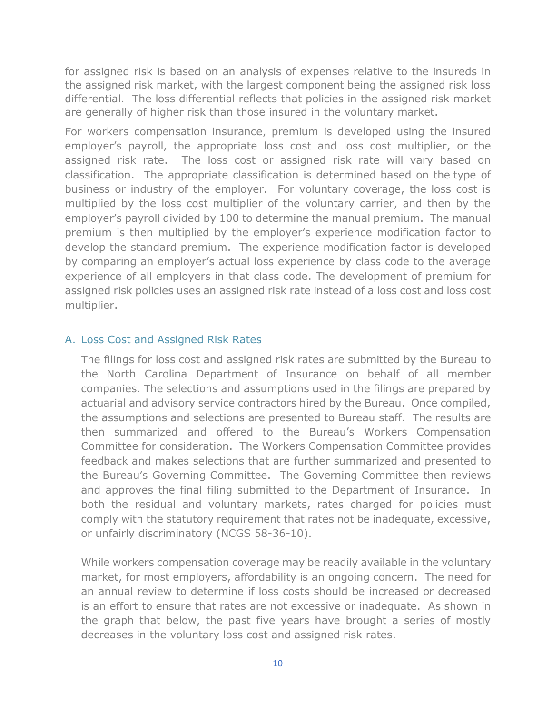for assigned risk is based on an analysis of expenses relative to the insureds in the assigned risk market, with the largest component being the assigned risk loss differential. The loss differential reflects that policies in the assigned risk market are generally of higher risk than those insured in the voluntary market.

For workers compensation insurance, premium is developed using the insured employer's payroll, the appropriate loss cost and loss cost multiplier, or the assigned risk rate. The loss cost or assigned risk rate will vary based on classification. The appropriate classification is determined based on the type of business or industry of the employer. For voluntary coverage, the loss cost is multiplied by the loss cost multiplier of the voluntary carrier, and then by the employer's payroll divided by 100 to determine the manual premium. The manual premium is then multiplied by the employer's experience modification factor to develop the standard premium. The experience modification factor is developed by comparing an employer's actual loss experience by class code to the average experience of all employers in that class code. The development of premium for assigned risk policies uses an assigned risk rate instead of a loss cost and loss cost multiplier.

#### A. Loss Cost and Assigned Risk Rates

The filings for loss cost and assigned risk rates are submitted by the Bureau to the North Carolina Department of Insurance on behalf of all member companies. The selections and assumptions used in the filings are prepared by actuarial and advisory service contractors hired by the Bureau. Once compiled, the assumptions and selections are presented to Bureau staff. The results are then summarized and offered to the Bureau's Workers Compensation Committee for consideration. The Workers Compensation Committee provides feedback and makes selections that are further summarized and presented to the Bureau's Governing Committee. The Governing Committee then reviews and approves the final filing submitted to the Department of Insurance. In both the residual and voluntary markets, rates charged for policies must comply with the statutory requirement that rates not be inadequate, excessive, or unfairly discriminatory (NCGS 58-36-10).

While workers compensation coverage may be readily available in the voluntary market, for most employers, affordability is an ongoing concern. The need for an annual review to determine if loss costs should be increased or decreased is an effort to ensure that rates are not excessive or inadequate. As shown in the graph that below, the past five years have brought a series of mostly decreases in the voluntary loss cost and assigned risk rates.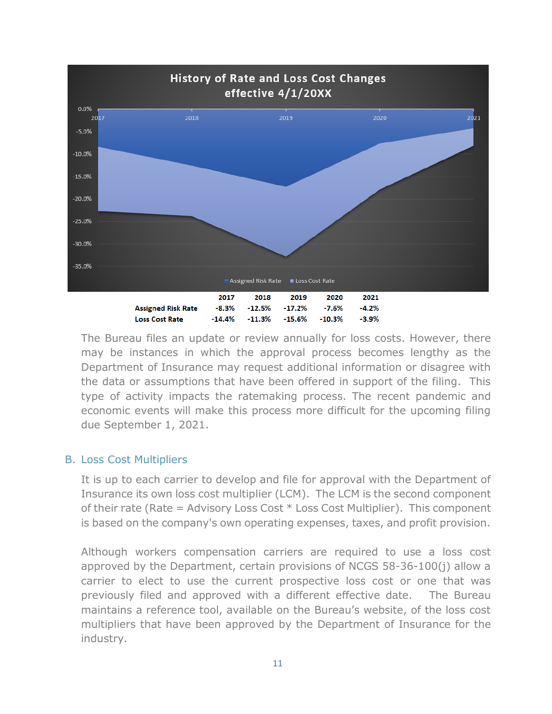

The Bureau files an update or review annually for loss costs. However, there may be instances in which the approval process becomes lengthy as the Department of Insurance may request additional information or disagree with the data or assumptions that have been offered in support of the filing. This type of activity impacts the ratemaking process. The recent pandemic and economic events will make this process more difficult for the upcoming filing due September 1, 2021.

#### B. Loss Cost Multipliers

It is up to each carrier to develop and file for approval with the Department of Insurance its own loss cost multiplier (LCM). The LCM is the second component of their rate (Rate = Advisory Loss Cost  $*$  Loss Cost Multiplier). This component is based on the company's own operating expenses, taxes, and profit provision.

Although workers compensation carriers are required to use a loss cost approved by the Department, certain provisions of NCGS 58-36-100(i) allow a carrier to elect to use the current prospective loss cost or one that was previously filed and approved with a different effective date. The Bureau maintains a reference tool, available on the Bureau's website, of the loss cost multipliers that have been approved by the Department of Insurance for the industry.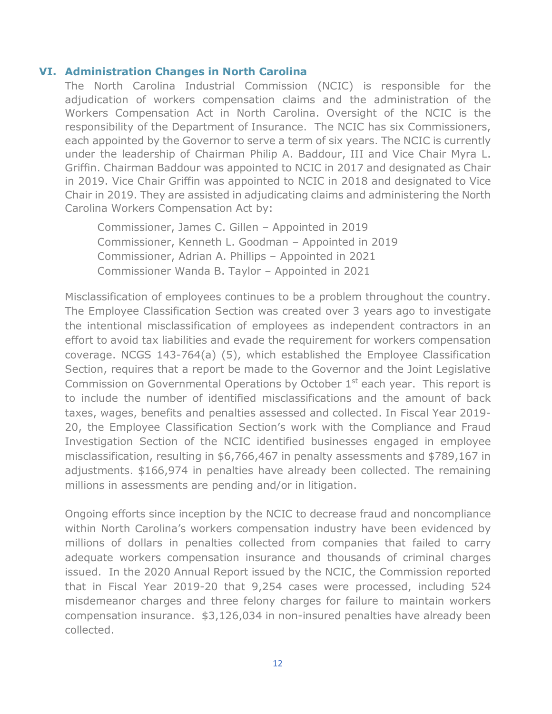#### **VI. Administration Changes in North Carolina**

The North Carolina Industrial Commission (NCIC) is responsible for the adjudication of workers compensation claims and the administration of the Workers Compensation Act in North Carolina. Oversight of the NCIC is the responsibility of the Department of Insurance. The NCIC has six Commissioners, each appointed by the Governor to serve a term of six years. The NCIC is currently under the leadership of Chairman Philip A. Baddour, III and Vice Chair Myra L. Griffin. Chairman Baddour was appointed to NCIC in 2017 and designated as Chair in 2019. Vice Chair Griffin was appointed to NCIC in 2018 and designated to Vice Chair in 2019. They are assisted in adjudicating claims and administering the North Carolina Workers Compensation Act by:

Commissioner, James C. Gillen – Appointed in 2019 Commissioner, Kenneth L. Goodman – Appointed in 2019 Commissioner, Adrian A. Phillips – Appointed in 2021 Commissioner Wanda B. Taylor – Appointed in 2021

Misclassification of employees continues to be a problem throughout the country. The Employee Classification Section was created over 3 years ago to investigate the intentional misclassification of employees as independent contractors in an effort to avoid tax liabilities and evade the requirement for workers compensation coverage. NCGS 143-764(a) (5), which established the Employee Classification Section, requires that a report be made to the Governor and the Joint Legislative Commission on Governmental Operations by October  $1<sup>st</sup>$  each year. This report is to include the number of identified misclassifications and the amount of back taxes, wages, benefits and penalties assessed and collected. In Fiscal Year 2019- 20, the Employee Classification Section's work with the Compliance and Fraud Investigation Section of the NCIC identified businesses engaged in employee misclassification, resulting in \$6,766,467 in penalty assessments and \$789,167 in adjustments. \$166,974 in penalties have already been collected. The remaining millions in assessments are pending and/or in litigation.

Ongoing efforts since inception by the NCIC to decrease fraud and noncompliance within North Carolina's workers compensation industry have been evidenced by millions of dollars in penalties collected from companies that failed to carry adequate workers compensation insurance and thousands of criminal charges issued. In the 2020 Annual Report issued by the NCIC, the Commission reported that in Fiscal Year 2019-20 that 9,254 cases were processed, including 524 misdemeanor charges and three felony charges for failure to maintain workers compensation insurance. \$3,126,034 in non-insured penalties have already been collected.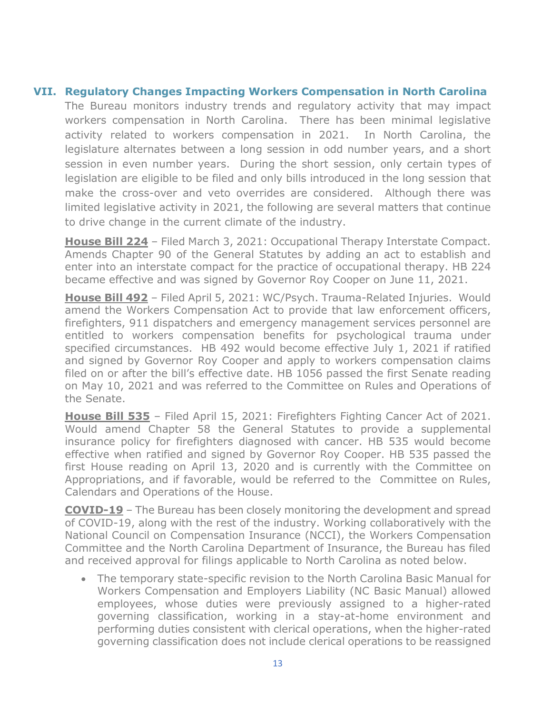#### **VII. Regulatory Changes Impacting Workers Compensation in North Carolina**

The Bureau monitors industry trends and regulatory activity that may impact workers compensation in North Carolina. There has been minimal legislative activity related to workers compensation in 2021. In North Carolina, the legislature alternates between a long session in odd number years, and a short session in even number years. During the short session, only certain types of legislation are eligible to be filed and only bills introduced in the long session that make the cross-over and veto overrides are considered. Although there was limited legislative activity in 2021, the following are several matters that continue to drive change in the current climate of the industry.

**House Bill 224** – Filed March 3, 2021: Occupational Therapy Interstate Compact. Amends Chapter 90 of the General Statutes by adding an act to establish and enter into an interstate compact for the practice of occupational therapy. HB 224 became effective and was signed by Governor Roy Cooper on June 11, 2021.

**House Bill 492** – Filed April 5, 2021: WC/Psych. Trauma-Related Injuries. Would amend the Workers Compensation Act to provide that law enforcement officers, firefighters, 911 dispatchers and emergency management services personnel are entitled to workers compensation benefits for psychological trauma under specified circumstances. HB 492 would become effective July 1, 2021 if ratified and signed by Governor Roy Cooper and apply to workers compensation claims filed on or after the bill's effective date. HB 1056 passed the first Senate reading on May 10, 2021 and was referred to the Committee on Rules and Operations of the Senate.

**House Bill 535** – Filed April 15, 2021: Firefighters Fighting Cancer Act of 2021. Would amend Chapter 58 the General Statutes to provide a supplemental insurance policy for firefighters diagnosed with cancer. HB 535 would become effective when ratified and signed by Governor Roy Cooper. HB 535 passed the first House reading on April 13, 2020 and is currently with the Committee on Appropriations, and if favorable, would be referred to the Committee on Rules, Calendars and Operations of the House.

**COVID-19** – The Bureau has been closely monitoring the development and spread of COVID-19, along with the rest of the industry. Working collaboratively with the National Council on Compensation Insurance (NCCI), the Workers Compensation Committee and the North Carolina Department of Insurance, the Bureau has filed and received approval for filings applicable to North Carolina as noted below.

• The temporary state-specific revision to the North Carolina Basic Manual for Workers Compensation and Employers Liability (NC Basic Manual) allowed employees, whose duties were previously assigned to a higher-rated governing classification, working in a stay-at-home environment and performing duties consistent with clerical operations, when the higher-rated governing classification does not include clerical operations to be reassigned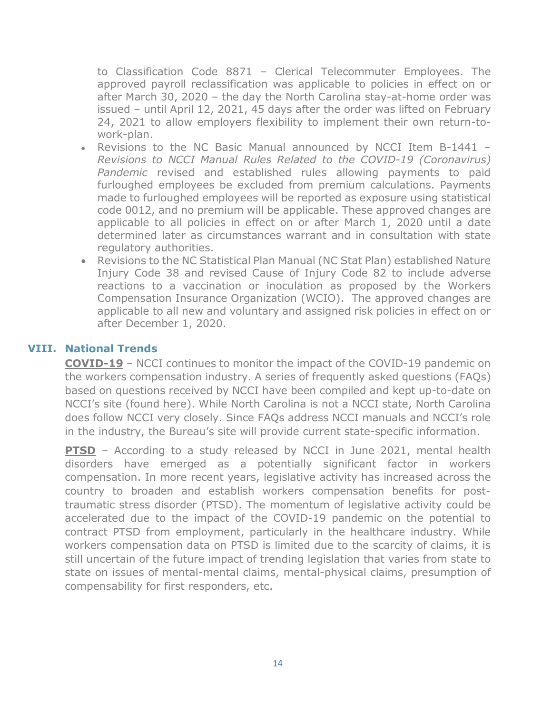to Classification Code 8871 – Clerical Telecommuter Employees. The approved payroll reclassification was applicable to policies in effect on or after March 30, 2020 – the day the North Carolina stay-at-home order was issued – until April 12, 2021, 45 days after the order was lifted on February 24, 2021 to allow employers flexibility to implement their own return-towork-plan.

- Revisions to the NC Basic Manual announced by NCCI Item B-1441 *Revisions to NCCI Manual Rules Related to the COVID-19 (Coronavirus) Pandemic* revised and established rules allowing payments to paid furloughed employees be excluded from premium calculations. Payments made to furloughed employees will be reported as exposure using statistical code 0012, and no premium will be applicable. These approved changes are applicable to all policies in effect on or after March 1, 2020 until a date determined later as circumstances warrant and in consultation with state regulatory authorities.
- Revisions to the NC Statistical Plan Manual (NC Stat Plan) established Nature Injury Code 38 and revised Cause of Injury Code 82 to include adverse reactions to a vaccination or inoculation as proposed by the Workers Compensation Insurance Organization (WCIO). The approved changes are applicable to all new and voluntary and assigned risk policies in effect on or after December 1, 2020.

#### **VIII. National Trends**

**COVID-19** – NCCI continues to monitor the impact of the COVID-19 pandemic on the workers compensation industry. A series of frequently asked questions (FAQs) based on questions received by NCCI have been compiled and kept up-to-date on NCCI's site (found [here\)](https://www.ncci.com/Articles/Pages/Insights-Coronavirus-FAQs.aspx). While North Carolina is not a NCCI state, North Carolina does follow NCCI very closely. Since FAQs address NCCI manuals and NCCI's role in the industry, the Bureau's site will provide current state-specific information.

**PTSD** – According to a study released by NCCI in June 2021, mental health disorders have emerged as a potentially significant factor in workers compensation. In more recent years, legislative activity has increased across the country to broaden and establish workers compensation benefits for posttraumatic stress disorder (PTSD). The momentum of legislative activity could be accelerated due to the impact of the COVID-19 pandemic on the potential to contract PTSD from employment, particularly in the healthcare industry. While workers compensation data on PTSD is limited due to the scarcity of claims, it is still uncertain of the future impact of trending legislation that varies from state to state on issues of mental-mental claims, mental-physical claims, presumption of compensability for first responders, etc.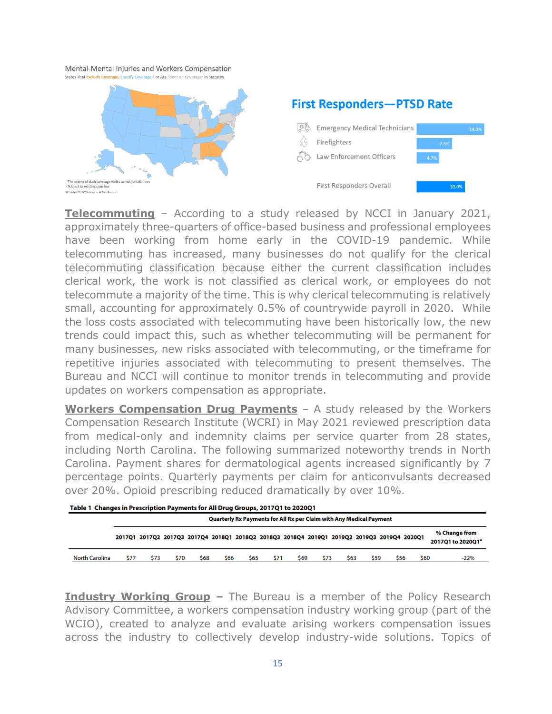Mental-Mental Injuries and Workers Compensation



**Telecommuting** – According to a study released by NCCI in January 2021, approximately three-quarters of office-based business and professional employees have been working from home early in the COVID-19 pandemic. While telecommuting has increased, many businesses do not qualify for the clerical telecommuting classification because either the current classification includes clerical work, the work is not classified as clerical work, or employees do not telecommute a majority of the time. This is why clerical telecommuting is relatively small, accounting for approximately 0.5% of countrywide payroll in 2020. While the loss costs associated with telecommuting have been historically low, the new trends could impact this, such as whether telecommuting will be permanent for many businesses, new risks associated with telecommuting, or the timeframe for repetitive injuries associated with telecommuting to present themselves. The Bureau and NCCI will continue to monitor trends in telecommuting and provide updates on workers compensation as appropriate.

**Workers Compensation Drug Payments** – A study released by the Workers Compensation Research Institute (WCRI) in May 2021 reviewed prescription data from medical-only and indemnity claims per service quarter from 28 states, including North Carolina. The following summarized noteworthy trends in North Carolina. Payment shares for dermatological agents increased significantly by 7 percentage points. Quarterly payments per claim for anticonvulsants decreased over 20%. Opioid prescribing reduced dramatically by over 10%.

| Table 1 Changes in Prescription Payments for All Drug Groups, 2017Q1 to 2020Q1 |
|--------------------------------------------------------------------------------|
|--------------------------------------------------------------------------------|

|                       | Quarterly Rx Payments for All Rx per Claim with Any Medical Payment |      |      |      |      |      |      |      |      |                                                                                            |      |      |      |                                    |
|-----------------------|---------------------------------------------------------------------|------|------|------|------|------|------|------|------|--------------------------------------------------------------------------------------------|------|------|------|------------------------------------|
|                       |                                                                     |      |      |      |      |      |      |      |      | 2017Q1 2017Q2 2017Q3 2017Q4 2018Q1 2018Q2 2018Q3 2018Q4 2019Q1 2019Q2 2019Q3 2019Q4 2020Q1 |      |      |      | % Change from<br>2017Q1 to 2020Q1ª |
| <b>North Carolina</b> | \$77                                                                | \$73 | \$70 | \$68 | \$66 | \$65 | \$71 | \$69 | \$73 | \$63                                                                                       | \$59 | \$56 | \$60 | -22%                               |

**Industry Working Group –** The Bureau is a member of the Policy Research Advisory Committee, a workers compensation industry working group (part of the WCIO), created to analyze and evaluate arising workers compensation issues across the industry to collectively develop industry-wide solutions. Topics of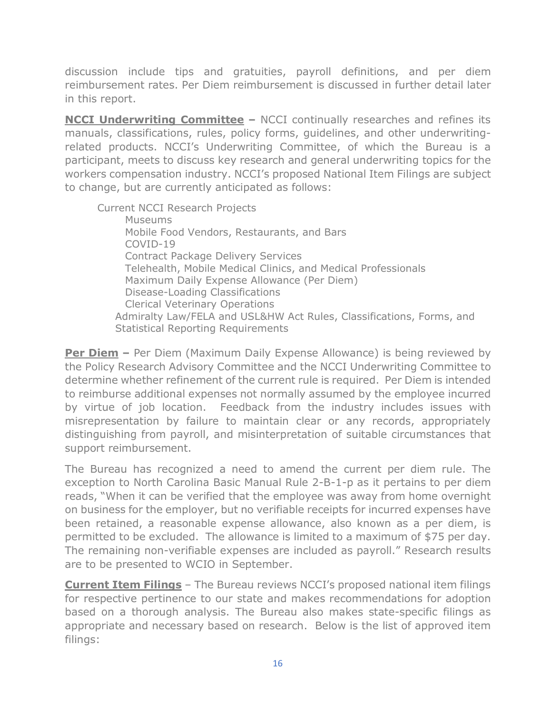discussion include tips and gratuities, payroll definitions, and per diem reimbursement rates. Per Diem reimbursement is discussed in further detail later in this report.

**NCCI Underwriting Committee –** NCCI continually researches and refines its manuals, classifications, rules, policy forms, guidelines, and other underwritingrelated products. NCCI's Underwriting Committee, of which the Bureau is a participant, meets to discuss key research and general underwriting topics for the workers compensation industry. NCCI's proposed National Item Filings are subject to change, but are currently anticipated as follows:

Current NCCI Research Projects Museums Mobile Food Vendors, Restaurants, and Bars COVID-19 Contract Package Delivery Services Telehealth, Mobile Medical Clinics, and Medical Professionals Maximum Daily Expense Allowance (Per Diem) Disease-Loading Classifications Clerical Veterinary Operations Admiralty Law/FELA and USL&HW Act Rules, Classifications, Forms, and Statistical Reporting Requirements

**Per Diem** – Per Diem (Maximum Daily Expense Allowance) is being reviewed by the Policy Research Advisory Committee and the NCCI Underwriting Committee to determine whether refinement of the current rule is required. Per Diem is intended to reimburse additional expenses not normally assumed by the employee incurred by virtue of job location. Feedback from the industry includes issues with misrepresentation by failure to maintain clear or any records, appropriately distinguishing from payroll, and misinterpretation of suitable circumstances that support reimbursement.

The Bureau has recognized a need to amend the current per diem rule. The exception to North Carolina Basic Manual Rule 2-B-1-p as it pertains to per diem reads, "When it can be verified that the employee was away from home overnight on business for the employer, but no verifiable receipts for incurred expenses have been retained, a reasonable expense allowance, also known as a per diem, is permitted to be excluded. The allowance is limited to a maximum of \$75 per day. The remaining non-verifiable expenses are included as payroll." Research results are to be presented to WCIO in September.

**Current Item Filings** – The Bureau reviews NCCI's proposed national item filings for respective pertinence to our state and makes recommendations for adoption based on a thorough analysis. The Bureau also makes state-specific filings as appropriate and necessary based on research. Below is the list of approved item filings: